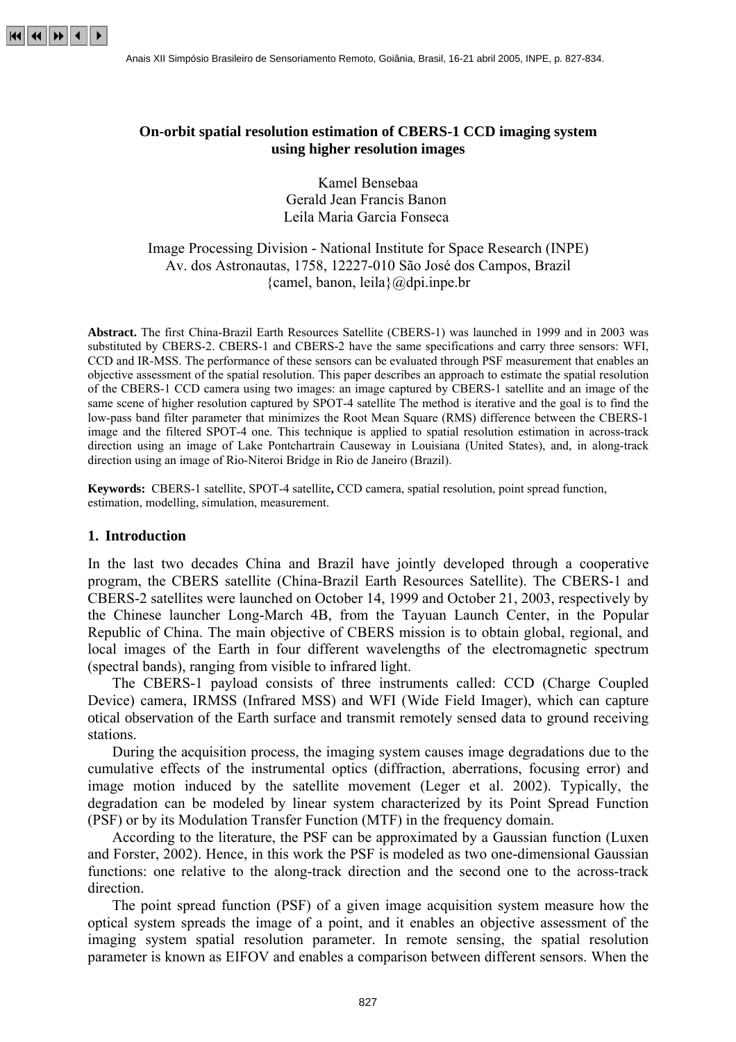

## **On-orbit spatial resolution estimation of CBERS-1 CCD imaging system using higher resolution images**

Kamel Bensebaa Gerald Jean Francis Banon Leila Maria Garcia Fonseca

# Image Processing Division - National Institute for Space Research (INPE) Av. dos Astronautas, 1758, 12227-010 São José dos Campos, Brazil {camel, banon, leila} $@$ dpi.inpe.br

**Abstract.** The first China-Brazil Earth Resources Satellite (CBERS-1) was launched in 1999 and in 2003 was substituted by CBERS-2. CBERS-1 and CBERS-2 have the same specifications and carry three sensors: WFI, CCD and IR-MSS. The performance of these sensors can be evaluated through PSF measurement that enables an objective assessment of the spatial resolution. This paper describes an approach to estimate the spatial resolution of the CBERS-1 CCD camera using two images: an image captured by CBERS-1 satellite and an image of the same scene of higher resolution captured by SPOT-4 satellite The method is iterative and the goal is to find the low-pass band filter parameter that minimizes the Root Mean Square (RMS) difference between the CBERS-1 image and the filtered SPOT-4 one. This technique is applied to spatial resolution estimation in across-track direction using an image of Lake Pontchartrain Causeway in Louisiana (United States), and, in along-track direction using an image of Rio-Niteroi Bridge in Rio de Janeiro (Brazil).

**Keywords:** CBERS-1 satellite, SPOT-4 satellite**,** CCD camera, spatial resolution, point spread function, estimation, modelling, simulation, measurement.

#### **1. Introduction**

In the last two decades China and Brazil have jointly developed through a cooperative program, the CBERS satellite (China-Brazil Earth Resources Satellite). The CBERS-1 and CBERS-2 satellites were launched on October 14, 1999 and October 21, 2003, respectively by the Chinese launcher Long-March 4B, from the Tayuan Launch Center, in the Popular Republic of China. The main objective of CBERS mission is to obtain global, regional, and local images of the Earth in four different wavelengths of the electromagnetic spectrum (spectral bands), ranging from visible to infrared light.

The CBERS-1 payload consists of three instruments called: CCD (Charge Coupled Device) camera, IRMSS (Infrared MSS) and WFI (Wide Field Imager), which can capture otical observation of the Earth surface and transmit remotely sensed data to ground receiving stations.

During the acquisition process, the imaging system causes image degradations due to the cumulative effects of the instrumental optics (diffraction, aberrations, focusing error) and image motion induced by the satellite movement (Leger et al. 2002). Typically, the degradation can be modeled by linear system characterized by its Point Spread Function (PSF) or by its Modulation Transfer Function (MTF) in the frequency domain.

According to the literature, the PSF can be approximated by a Gaussian function (Luxen and Forster, 2002). Hence, in this work the PSF is modeled as two one-dimensional Gaussian functions: one relative to the along-track direction and the second one to the across-track direction.

The point spread function (PSF) of a given image acquisition system measure how the optical system spreads the image of a point, and it enables an objective assessment of the imaging system spatial resolution parameter. In remote sensing, the spatial resolution parameter is known as EIFOV and enables a comparison between different sensors. When the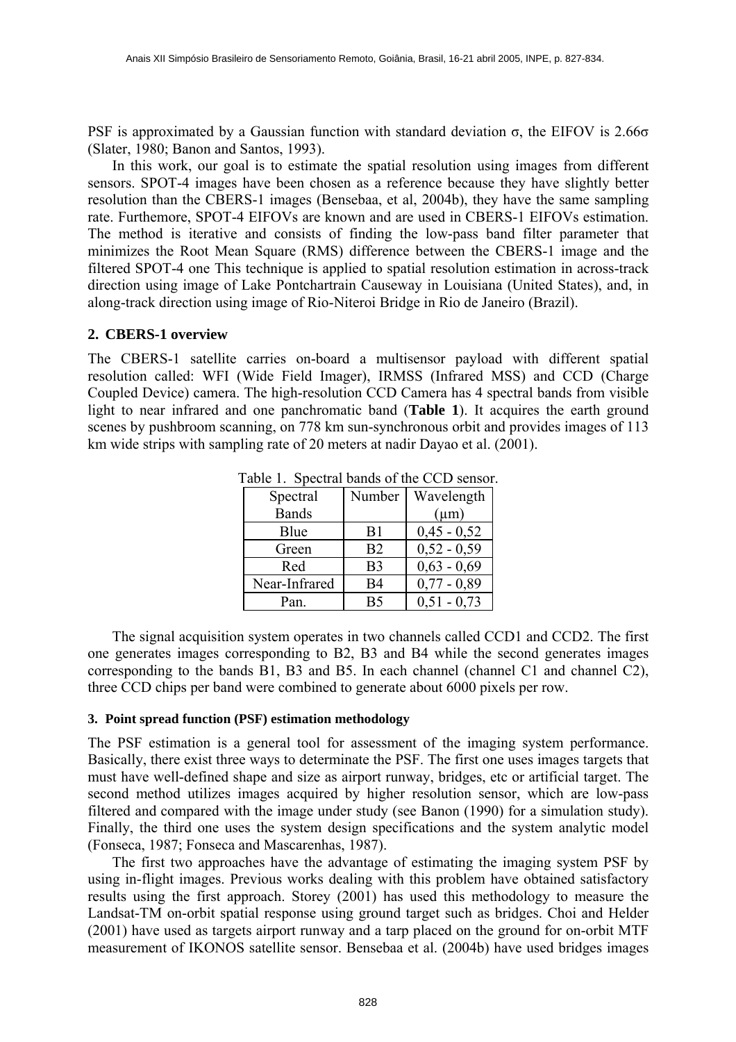PSF is approximated by a Gaussian function with standard deviation  $\sigma$ , the EIFOV is 2.66 $\sigma$ (Slater, 1980; Banon and Santos, 1993).

In this work, our goal is to estimate the spatial resolution using images from different sensors. SPOT-4 images have been chosen as a reference because they have slightly better resolution than the CBERS-1 images (Bensebaa, et al, 2004b), they have the same sampling rate. Furthemore, SPOT-4 EIFOVs are known and are used in CBERS-1 EIFOVs estimation. The method is iterative and consists of finding the low-pass band filter parameter that minimizes the Root Mean Square (RMS) difference between the CBERS-1 image and the filtered SPOT-4 one This technique is applied to spatial resolution estimation in across-track direction using image of Lake Pontchartrain Causeway in Louisiana (United States), and, in along-track direction using image of Rio-Niteroi Bridge in Rio de Janeiro (Brazil).

## **2. CBERS-1 overview**

The CBERS-1 satellite carries on-board a multisensor payload with different spatial resolution called: WFI (Wide Field Imager), IRMSS (Infrared MSS) and CCD (Charge Coupled Device) camera. The high-resolution CCD Camera has 4 spectral bands from visible light to near infrared and one panchromatic band (**Table 1**). It acquires the earth ground scenes by pushbroom scanning, on 778 km sun-synchronous orbit and provides images of 113 km wide strips with sampling rate of 20 meters at nadir Dayao et al. (2001).

| .             |                |               |
|---------------|----------------|---------------|
| Spectral      | Number         | Wavelength    |
| <b>Bands</b>  |                | $(\mu m)$     |
| Blue          | B1             | $0,45 - 0,52$ |
| Green         | B <sub>2</sub> | $0,52 - 0,59$ |
| Red           | B <sub>3</sub> | $0,63 - 0,69$ |
| Near-Infrared | <b>B4</b>      | $0,77 - 0,89$ |
| Pan.          | B <sub>5</sub> | $0,51 - 0,73$ |

Table 1. Spectral bands of the CCD sensor.

The signal acquisition system operates in two channels called CCD1 and CCD2. The first one generates images corresponding to B2, B3 and B4 while the second generates images corresponding to the bands B1, B3 and B5. In each channel (channel C1 and channel C2), three CCD chips per band were combined to generate about 6000 pixels per row.

## **3. Point spread function (PSF) estimation methodology**

The PSF estimation is a general tool for assessment of the imaging system performance. Basically, there exist three ways to determinate the PSF. The first one uses images targets that must have well-defined shape and size as airport runway, bridges, etc or artificial target. The second method utilizes images acquired by higher resolution sensor, which are low-pass filtered and compared with the image under study (see Banon (1990) for a simulation study). Finally, the third one uses the system design specifications and the system analytic model (Fonseca, 1987; Fonseca and Mascarenhas, 1987).

The first two approaches have the advantage of estimating the imaging system PSF by using in-flight images. Previous works dealing with this problem have obtained satisfactory results using the first approach. Storey (2001) has used this methodology to measure the Landsat-TM on-orbit spatial response using ground target such as bridges. Choi and Helder (2001) have used as targets airport runway and a tarp placed on the ground for on-orbit MTF measurement of IKONOS satellite sensor. Bensebaa et al. (2004b) have used bridges images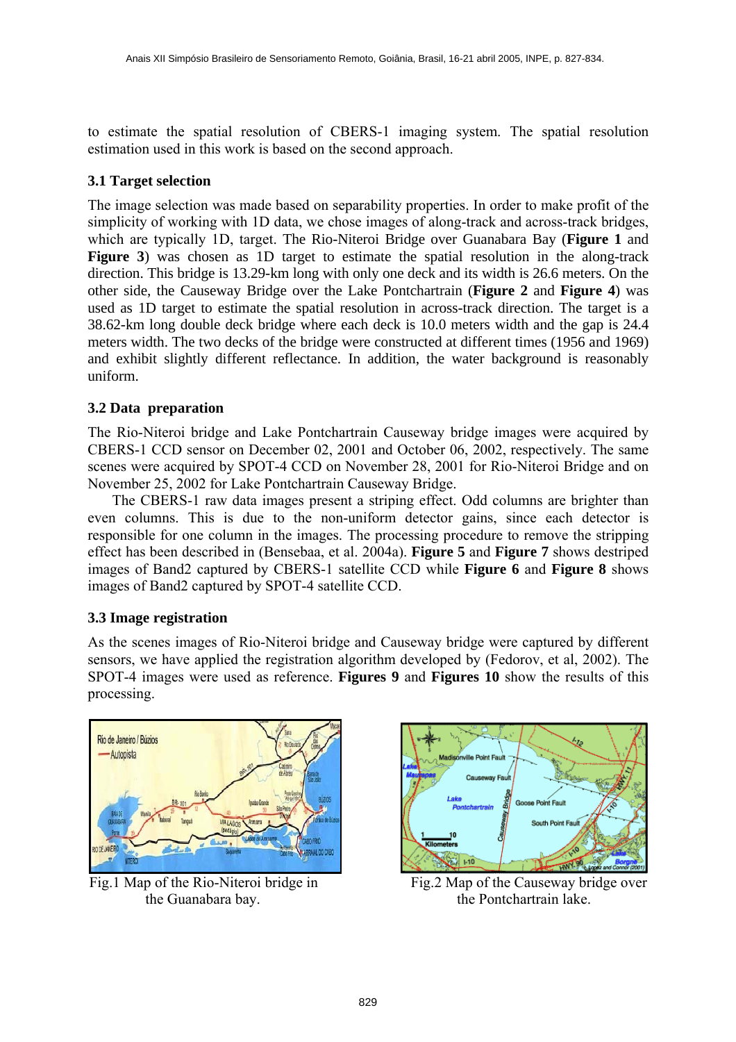to estimate the spatial resolution of CBERS-1 imaging system. The spatial resolution estimation used in this work is based on the second approach.

# **3.1 Target selection**

The image selection was made based on separability properties. In order to make profit of the simplicity of working with 1D data, we chose images of along-track and across-track bridges, which are typically 1D, target. The Rio-Niteroi Bridge over Guanabara Bay (**Figure 1** and **Figure 3**) was chosen as 1D target to estimate the spatial resolution in the along-track direction. This bridge is 13.29-km long with only one deck and its width is 26.6 meters. On the other side, the Causeway Bridge over the Lake Pontchartrain (**Figure 2** and **Figure 4**) was used as 1D target to estimate the spatial resolution in across-track direction. The target is a 38.62-km long double deck bridge where each deck is 10.0 meters width and the gap is 24.4 meters width. The two decks of the bridge were constructed at different times (1956 and 1969) and exhibit slightly different reflectance. In addition, the water background is reasonably uniform.

# **3.2 Data preparation**

The Rio-Niteroi bridge and Lake Pontchartrain Causeway bridge images were acquired by CBERS-1 CCD sensor on December 02, 2001 and October 06, 2002, respectively. The same scenes were acquired by SPOT-4 CCD on November 28, 2001 for Rio-Niteroi Bridge and on November 25, 2002 for Lake Pontchartrain Causeway Bridge.

The CBERS-1 raw data images present a striping effect. Odd columns are brighter than even columns. This is due to the non-uniform detector gains, since each detector is responsible for one column in the images. The processing procedure to remove the stripping effect has been described in (Bensebaa, et al. 2004a). **Figure 5** and **Figure 7** shows destriped images of Band2 captured by CBERS-1 satellite CCD while **Figure 6** and **Figure 8** shows images of Band2 captured by SPOT-4 satellite CCD.

## **3.3 Image registration**

As the scenes images of Rio-Niteroi bridge and Causeway bridge were captured by different sensors, we have applied the registration algorithm developed by (Fedorov, et al, 2002). The SPOT-4 images were used as reference. **Figures 9** and **Figures 10** show the results of this processing.





Fig.1 Map of the Rio-Niteroi bridge in Fig.2 Map of the Causeway bridge over the Guanabara bay. the Pontchartrain lake.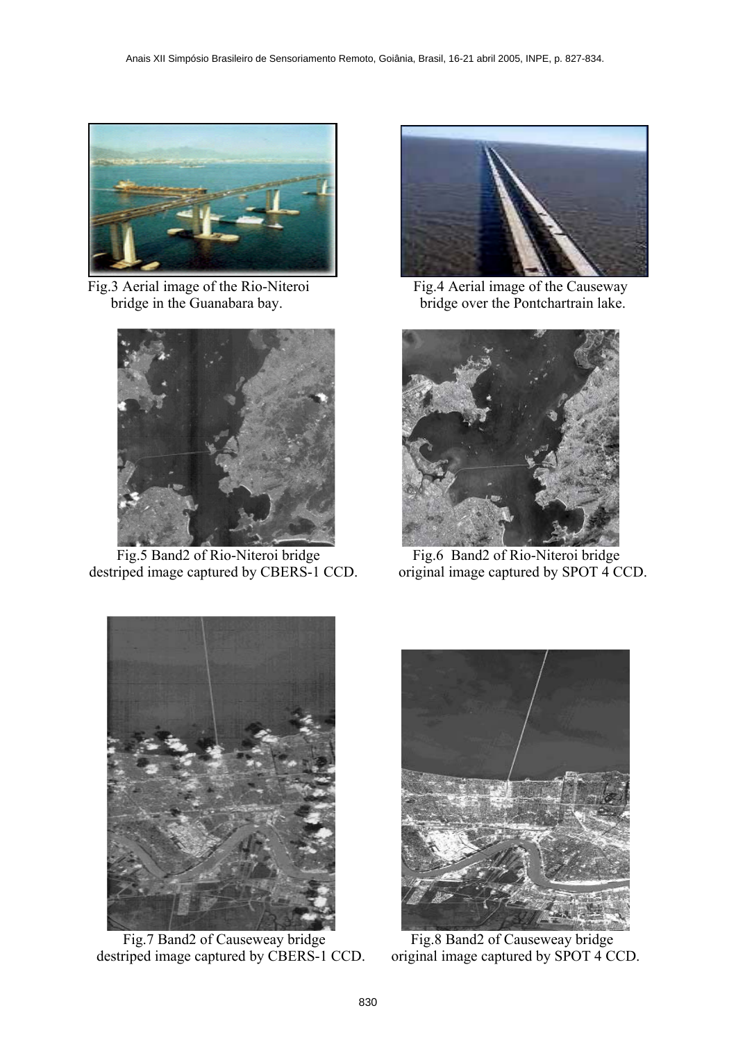

Fig.3 Aerial image of the Rio-Niteroi Fig.4 Aerial image of the Causeway



 Fig.5 Band2 of Rio-Niteroi bridge Fig.6 Band2 of Rio-Niteroi bridge destriped image captured by CBERS-1 CCD. original image captured by SPOT 4 CCD.



bridge in the Guanabara bay. bridge over the Pontchartrain lake.





Fig.7 Band2 of Causeweay bridge Fig.8 Band2 of Causeweay bridge destriped image captured by CBERS-1 CCD. original image captured by SPOT 4 CCD.

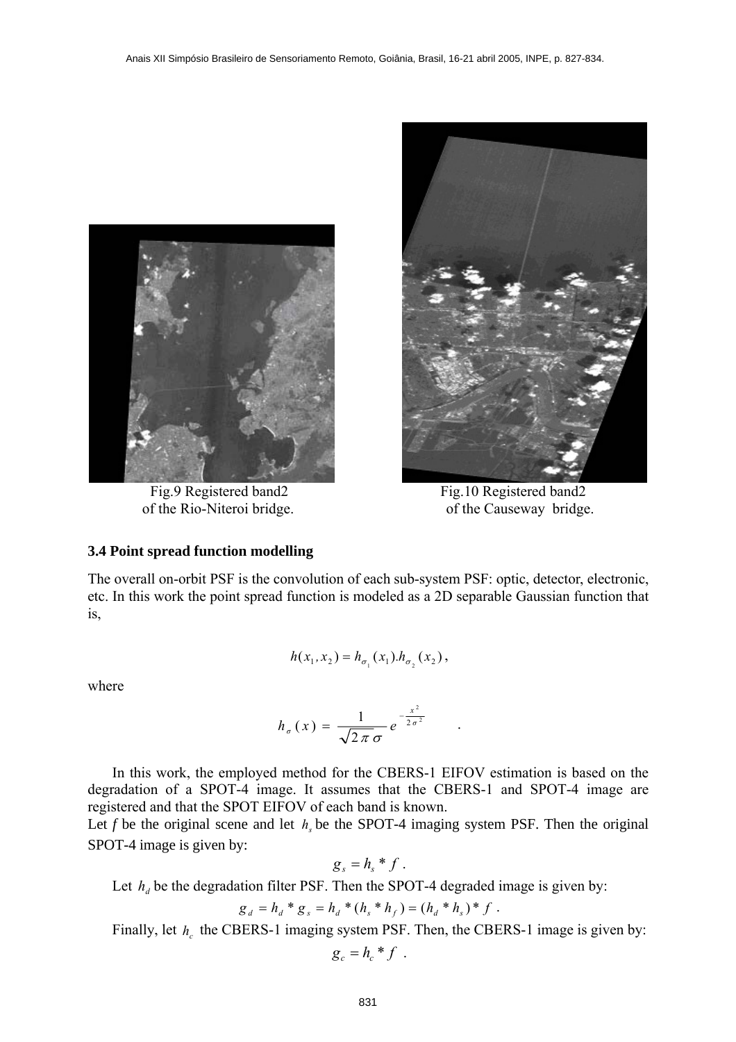



Fig.9 Registered band2 Fig.10 Registered band2 of the Rio-Niteroi bridge. of the Causeway bridge.

## **3.4 Point spread function modelling**

The overall on-orbit PSF is the convolution of each sub-system PSF: optic, detector, electronic, etc. In this work the point spread function is modeled as a 2D separable Gaussian function that is,

$$
h(x_1, x_2) = h_{\sigma_1}(x_1) . h_{\sigma_2}(x_2),
$$

where

$$
h_{\sigma}(x) = \frac{1}{\sqrt{2\pi}\sigma} e^{-\frac{x^2}{2\sigma^2}} \qquad .
$$

In this work, the employed method for the CBERS-1 EIFOV estimation is based on the degradation of a SPOT-4 image. It assumes that the CBERS-1 and SPOT-4 image are registered and that the SPOT EIFOV of each band is known.

Let *f* be the original scene and let  $h<sub>s</sub>$  be the SPOT-4 imaging system PSF. Then the original SPOT-4 image is given by:

$$
g_s = h_s * f.
$$

Let  $h_a$  be the degradation filter PSF. Then the SPOT-4 degraded image is given by:

$$
g_d = h_d * g_s = h_d * (h_s * h_f) = (h_d * h_s) * f.
$$

Finally, let  $h_c$  the CBERS-1 imaging system PSF. Then, the CBERS-1 image is given by:

$$
g_c = h_c * f
$$
.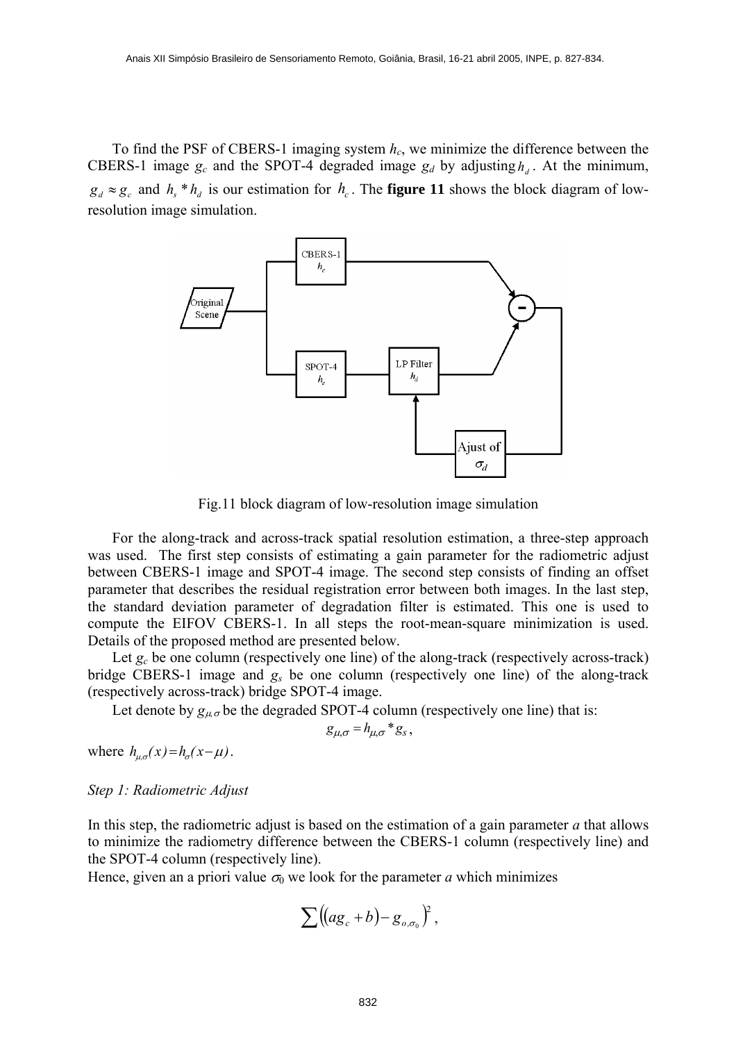To find the PSF of CBERS-1 imaging system  $h<sub>c</sub>$ , we minimize the difference between the CBERS-1 image  $g_c$  and the SPOT-4 degraded image  $g_d$  by adjusting  $h_d$ . At the minimum,  $g_d \approx g_c$  and  $h_s * h_d$  is our estimation for  $h_c$ . The **figure 11** shows the block diagram of lowresolution image simulation.



Fig.11 block diagram of low-resolution image simulation

For the along-track and across-track spatial resolution estimation, a three-step approach was used. The first step consists of estimating a gain parameter for the radiometric adjust between CBERS-1 image and SPOT-4 image. The second step consists of finding an offset parameter that describes the residual registration error between both images. In the last step, the standard deviation parameter of degradation filter is estimated. This one is used to compute the EIFOV CBERS-1. In all steps the root-mean-square minimization is used. Details of the proposed method are presented below.

Let  $g_c$  be one column (respectively one line) of the along-track (respectively across-track) bridge CBERS-1 image and *gs* be one column (respectively one line) of the along-track (respectively across-track) bridge SPOT-4 image.

Let denote by  $g_{\mu\sigma}$  be the degraded SPOT-4 column (respectively one line) that is:

$$
g_{\mu,\sigma} = h_{\mu,\sigma} * g_s,
$$

where  $h_{\alpha\sigma}(x) = h_{\sigma}(x-\mu)$ .

## *Step 1: Radiometric Adjust*

In this step, the radiometric adjust is based on the estimation of a gain parameter *a* that allows to minimize the radiometry difference between the CBERS-1 column (respectively line) and the SPOT-4 column (respectively line).

Hence, given an a priori value  $\sigma_0$  we look for the parameter *a* which minimizes

$$
\sum \bigl((a g_c + b) - g_{o,\sigma_0}\bigr)^2\,,
$$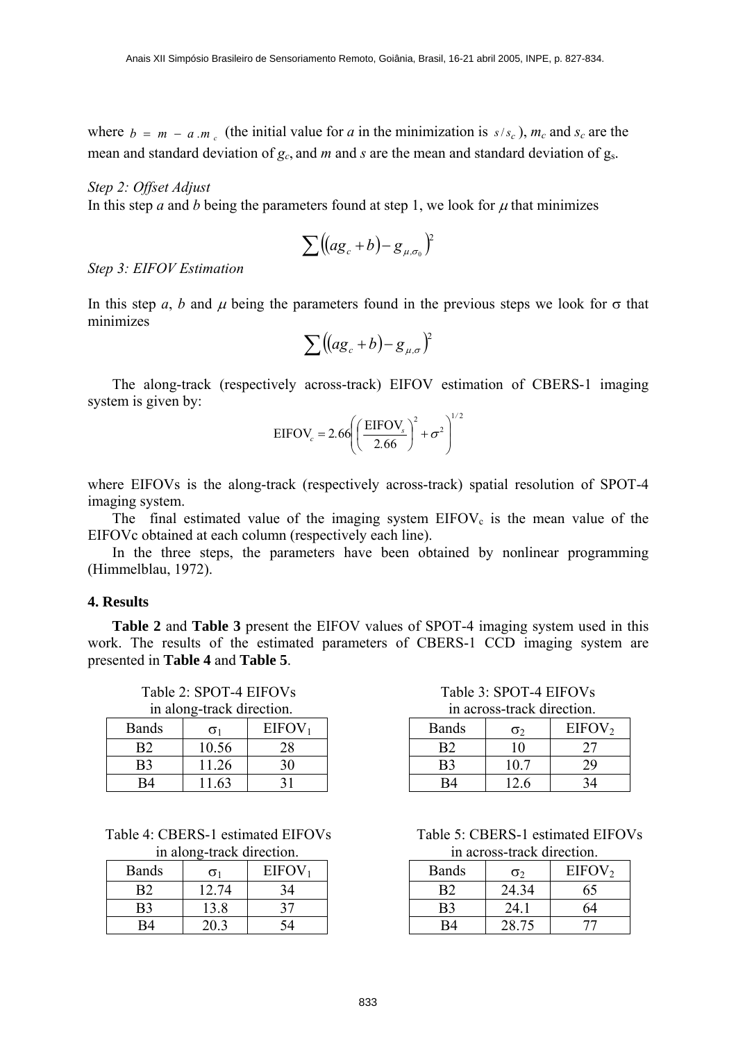where  $b = m - a$  *m<sub>c</sub>* (the initial value for *a* in the minimization is  $s/s_c$ ),  $m_c$  and  $s_c$  are the mean and standard deviation of  $g_c$ , and *m* and *s* are the mean and standard deviation of  $g_s$ .

#### *Step 2: Offset Adjust*

In this step *a* and *b* being the parameters found at step 1, we look for  $\mu$  that minimizes

$$
\sum \bigl((a g_c + b) - g_{\mu, \sigma_0}\bigr)^2
$$

*Step 3: EIFOV Estimation* 

In this step *a*, *b* and  $\mu$  being the parameters found in the previous steps we look for  $\sigma$  that minimizes

$$
\sum \bigl((a g_c + b) - g_{\mu,\sigma}\bigr)^2
$$

The along-track (respectively across-track) EIFOV estimation of CBERS-1 imaging system is given by:

$$
EIFOV_c = 2.66 \left( \left( \frac{EIFOV_s}{2.66} \right)^2 + \sigma^2 \right)^{1/2}
$$

where EIFOVs is the along-track (respectively across-track) spatial resolution of SPOT-4 imaging system.

The final estimated value of the imaging system  $EIFOV_c$  is the mean value of the EIFOVc obtained at each column (respectively each line).

In the three steps, the parameters have been obtained by nonlinear programming (Himmelblau, 1972).

## **4. Results**

**Table 2** and **Table 3** present the EIFOV values of SPOT-4 imaging system used in this work. The results of the estimated parameters of CBERS-1 CCD imaging system are presented in **Table 4** and **Table 5**.

in along-track direction.

| $m$ and $m$ and $m$ and $m$ . |            |                    |
|-------------------------------|------------|--------------------|
| <b>Bands</b>                  | $\sigma_1$ | EIFOV <sub>1</sub> |
| B2                            | 10.56      | 28                 |
| B3                            | 11.26      | 30                 |
| R4                            | 11.63      |                    |

Table 4: CBERS-1 estimated EIFOVs Table 5: CBERS-1 estimated EIFOVs

| <b>Bands</b> | σ     | EIFOV <sub>1</sub> |
|--------------|-------|--------------------|
|              | 12.74 |                    |
| B3           | 13.8  |                    |
|              |       |                    |

Table 2: SPOT-4 EIFOVs Table 3: SPOT-4 EIFOVs

|  | in across-track direction. |
|--|----------------------------|
|  |                            |

| <b>Bands</b> | σ    | EIFOV <sub>2</sub> |
|--------------|------|--------------------|
|              |      |                    |
| B3           | 10.7 |                    |
|              | 126  |                    |

in along-track direction in across-track direction

| <b>Bands</b> | $\sigma$ | EIFOV <sub>2</sub> |
|--------------|----------|--------------------|
| R2           | 24.34    | 65                 |
| B3           | 24.1     | 64                 |
|              | 28.75    |                    |